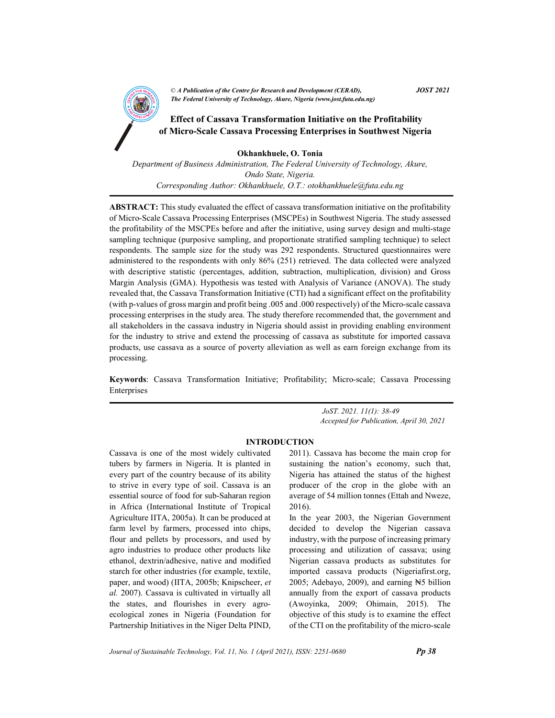

# of Micro-Scale Cassava Processing Enterprises in Southwest Nigeria

Okhankhuele, O. Tonia Department of Business Administration, The Federal University of Technology, Akure, Ondo State, Nigeria. Corresponding Author: Okhankhuele, O.T.: otokhankhuele@futa.edu.ng

ABSTRACT: This study evaluated the effect of cassava transformation initiative on the profitability of Micro-Scale Cassava Processing Enterprises (MSCPEs) in Southwest Nigeria. The study assessed the profitability of the MSCPEs before and after the initiative, using survey design and multi-stage sampling technique (purposive sampling, and proportionate stratified sampling technique) to select respondents. The sample size for the study was 292 respondents. Structured questionnaires were administered to the respondents with only 86% (251) retrieved. The data collected were analyzed with descriptive statistic (percentages, addition, subtraction, multiplication, division) and Gross Margin Analysis (GMA). Hypothesis was tested with Analysis of Variance (ANOVA). The study revealed that, the Cassava Transformation Initiative (CTI) had a significant effect on the profitability (with p-values of gross margin and profit being .005 and .000 respectively) of the Micro-scale cassava processing enterprises in the study area. The study therefore recommended that, the government and all stakeholders in the cassava industry in Nigeria should assist in providing enabling environment for the industry to strive and extend the processing of cassava as substitute for imported cassava products, use cassava as a source of poverty alleviation as well as earn foreign exchange from its processing.

Keywords: Cassava Transformation Initiative; Profitability; Micro-scale; Cassava Processing Enterprises

> JoST. 2021. 11(1): 38-49 Accepted for Publication, April 30, 2021

## INTRODUCTION

Cassava is one of the most widely cultivated tubers by farmers in Nigeria. It is planted in every part of the country because of its ability to strive in every type of soil. Cassava is an essential source of food for sub-Saharan region in Africa (International Institute of Tropical Agriculture IITA, 2005a). It can be produced at farm level by farmers, processed into chips, flour and pellets by processors, and used by agro industries to produce other products like ethanol, dextrin/adhesive, native and modified starch for other industries (for example, textile, paper, and wood) (IITA, 2005b; Knipscheer, et al. 2007). Cassava is cultivated in virtually all the states, and flourishes in every agroecological zones in Nigeria (Foundation for Partnership Initiatives in the Niger Delta PIND, 2011). Cassava has become the main crop for sustaining the nation's economy, such that, Nigeria has attained the status of the highest producer of the crop in the globe with an average of 54 million tonnes (Ettah and Nweze, 2016).

In the year 2003, the Nigerian Government decided to develop the Nigerian cassava industry, with the purpose of increasing primary processing and utilization of cassava; using Nigerian cassava products as substitutes for imported cassava products (Nigeriafirst.org, 2005; Adebayo, 2009), and earning  $H5$  billion annually from the export of cassava products (Awoyinka, 2009; Ohimain, 2015). The objective of this study is to examine the effect of the CTI on the profitability of the micro-scale

Journal of Sustainable Technology, Vol. 11, No. 1 (April 2021), ISSN: 2251-0680 **Pp 38**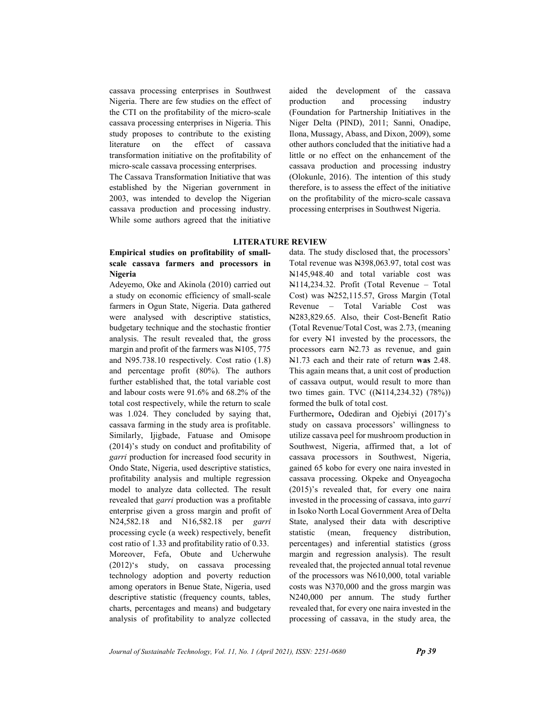cassava processing enterprises in Southwest Nigeria. There are few studies on the effect of the CTI on the profitability of the micro-scale cassava processing enterprises in Nigeria. This study proposes to contribute to the existing literature on the effect of cassava transformation initiative on the profitability of micro-scale cassava processing enterprises.

The Cassava Transformation Initiative that was established by the Nigerian government in 2003, was intended to develop the Nigerian cassava production and processing industry. While some authors agreed that the initiative aided the development of the cassava production and processing industry (Foundation for Partnership Initiatives in the Niger Delta (PIND), 2011; Sanni, Onadipe, Ilona, Mussagy, Abass, and Dixon, 2009), some other authors concluded that the initiative had a little or no effect on the enhancement of the cassava production and processing industry (Olokunle, 2016). The intention of this study therefore, is to assess the effect of the initiative on the profitability of the micro-scale cassava processing enterprises in Southwest Nigeria.

#### LITERATURE REVIEW

# Empirical studies on profitability of smallscale cassava farmers and processors in Nigeria

Adeyemo, Oke and Akinola (2010) carried out a study on economic efficiency of small-scale farmers in Ogun State, Nigeria. Data gathered were analysed with descriptive statistics, budgetary technique and the stochastic frontier analysis. The result revealed that, the gross margin and profit of the farmers was N105, 775 and N95.738.10 respectively. Cost ratio (1.8) and percentage profit (80%). The authors further established that, the total variable cost and labour costs were 91.6% and 68.2% of the total cost respectively, while the return to scale was 1.024. They concluded by saying that, cassava farming in the study area is profitable. Similarly, Ijigbade, Fatuase and Omisope (2014)'s study on conduct and profitability of garri production for increased food security in Ondo State, Nigeria, used descriptive statistics, profitability analysis and multiple regression model to analyze data collected. The result revealed that garri production was a profitable enterprise given a gross margin and profit of N24,582.18 and N16,582.18 per garri processing cycle (a week) respectively, benefit cost ratio of 1.33 and profitability ratio of 0.33. Moreover, Fefa, Obute and Ucherwuhe (2012)'s study, on cassava processing technology adoption and poverty reduction among operators in Benue State, Nigeria, used descriptive statistic (frequency counts, tables, charts, percentages and means) and budgetary analysis of profitability to analyze collected data. The study disclosed that, the processors' Total revenue was N398,063.97, total cost was N145,948.40 and total variable cost was N114,234.32. Profit (Total Revenue – Total Cost) was N252,115.57, Gross Margin (Total Revenue – Total Variable Cost was N283,829.65. Also, their Cost-Benefit Ratio (Total Revenue/Total Cost, was 2.73, (meaning for every N1 invested by the processors, the processors earn N2.73 as revenue, and gain N1.73 each and their rate of return was 2.48. This again means that, a unit cost of production of cassava output, would result to more than two times gain. TVC ((N114,234.32) (78%)) formed the bulk of total cost.

Furthermore, Odediran and Ojebiyi (2017)'s study on cassava processors' willingness to utilize cassava peel for mushroom production in Southwest, Nigeria, affirmed that, a lot of cassava processors in Southwest, Nigeria, gained 65 kobo for every one naira invested in cassava processing. Okpeke and Onyeagocha (2015)'s revealed that, for every one naira invested in the processing of cassava, into garri in Isoko North Local Government Area of Delta State, analysed their data with descriptive statistic (mean, frequency distribution, percentages) and inferential statistics (gross margin and regression analysis). The result revealed that, the projected annual total revenue of the processors was N610,000, total variable costs was N370,000 and the gross margin was N240,000 per annum. The study further revealed that, for every one naira invested in the processing of cassava, in the study area, the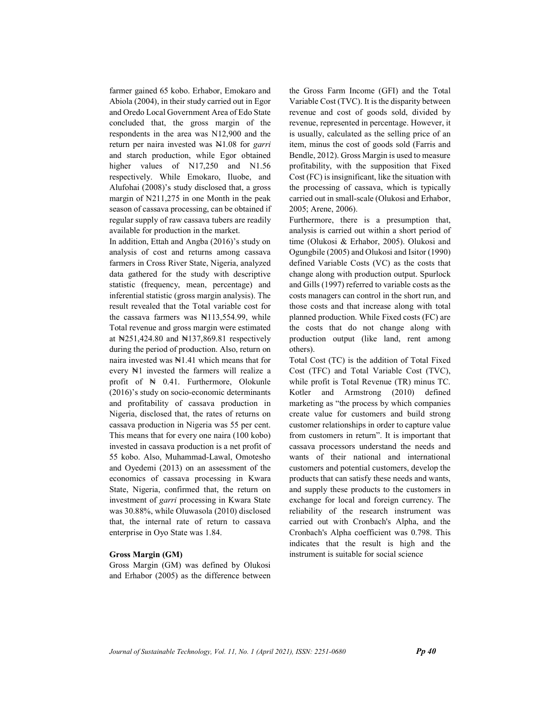farmer gained 65 kobo. Erhabor, Emokaro and Abiola (2004), in their study carried out in Egor and Oredo Local Government Area of Edo State concluded that, the gross margin of the respondents in the area was N12,900 and the return per naira invested was N1.08 for garri and starch production, while Egor obtained higher values of N17,250 and N1.56 respectively. While Emokaro, Iluobe, and Alufohai (2008)'s study disclosed that, a gross margin of N211,275 in one Month in the peak season of cassava processing, can be obtained if regular supply of raw cassava tubers are readily available for production in the market.

In addition, Ettah and Angba (2016)'s study on analysis of cost and returns among cassava farmers in Cross River State, Nigeria, analyzed data gathered for the study with descriptive statistic (frequency, mean, percentage) and inferential statistic (gross margin analysis). The result revealed that the Total variable cost for the cassava farmers was  $\mathbb{N}113,554.99$ , while Total revenue and gross margin were estimated at ₦251,424.80 and ₦137,869.81 respectively during the period of production. Also, return on naira invested was ₦1.41 which means that for every ₦1 invested the farmers will realize a profit of ₦ 0.41. Furthermore, Olokunle (2016)'s study on socio-economic determinants and profitability of cassava production in Nigeria, disclosed that, the rates of returns on cassava production in Nigeria was 55 per cent. This means that for every one naira (100 kobo) invested in cassava production is a net profit of 55 kobo. Also, Muhammad-Lawal, Omotesho and Oyedemi (2013) on an assessment of the economics of cassava processing in Kwara State, Nigeria, confirmed that, the return on investment of garri processing in Kwara State was 30.88%, while Oluwasola (2010) disclosed that, the internal rate of return to cassava enterprise in Oyo State was 1.84.

#### Gross Margin (GM)

Gross Margin (GM) was defined by Olukosi and Erhabor (2005) as the difference between

the Gross Farm Income (GFI) and the Total Variable Cost (TVC). It is the disparity between revenue and cost of goods sold, divided by revenue, represented in percentage. However, it is usually, calculated as the selling price of an item, minus the cost of goods sold (Farris and Bendle, 2012). Gross Margin is used to measure profitability, with the supposition that Fixed Cost (FC) is insignificant, like the situation with the processing of cassava, which is typically carried out in small-scale (Olukosi and Erhabor, 2005; Arene, 2006).

Furthermore, there is a presumption that, analysis is carried out within a short period of time (Olukosi & Erhabor, 2005). Olukosi and Ogungbile (2005) and Olukosi and Isitor (1990) defined Variable Costs (VC) as the costs that change along with production output. Spurlock and Gills (1997) referred to variable costs as the costs managers can control in the short run, and those costs and that increase along with total planned production. While Fixed costs (FC) are the costs that do not change along with production output (like land, rent among others).

Total Cost (TC) is the addition of Total Fixed Cost (TFC) and Total Variable Cost (TVC), while profit is Total Revenue (TR) minus TC. Kotler and Armstrong (2010) defined marketing as "the process by which companies create value for customers and build strong customer relationships in order to capture value from customers in return". It is important that cassava processors understand the needs and wants of their national and international customers and potential customers, develop the products that can satisfy these needs and wants, and supply these products to the customers in exchange for local and foreign currency. The reliability of the research instrument was carried out with Cronbach's Alpha, and the Cronbach's Alpha coefficient was 0.798. This indicates that the result is high and the instrument is suitable for social science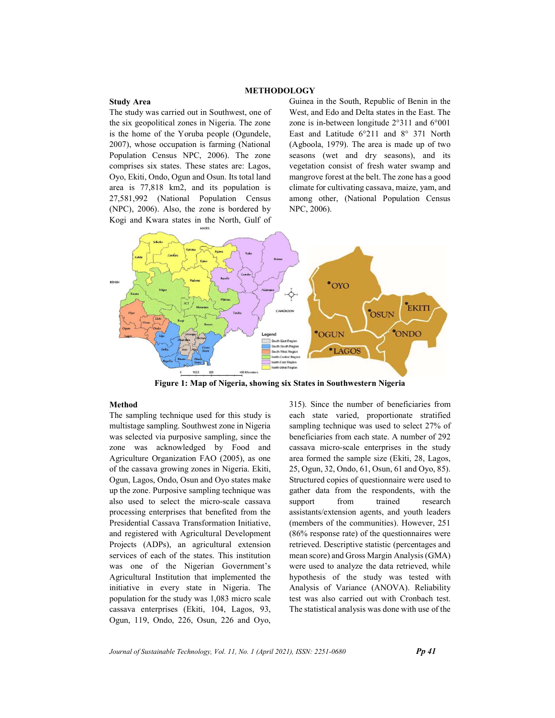## METHODOLOGY

#### Study Area

The study was carried out in Southwest, one of the six geopolitical zones in Nigeria. The zone is the home of the Yoruba people (Ogundele, 2007), whose occupation is farming (National Population Census NPC, 2006). The zone comprises six states. These states are: Lagos, Oyo, Ekiti, Ondo, Ogun and Osun. Its total land area is 77,818 km2, and its population is 27,581,992 (National Population Census (NPC), 2006). Also, the zone is bordered by Kogi and Kwara states in the North, Gulf of Guinea in the South, Republic of Benin in the West, and Edo and Delta states in the East. The zone is in-between longitude 2°311 and 6°001 East and Latitude 6°211 and 8° 371 North (Agboola, 1979). The area is made up of two seasons (wet and dry seasons), and its vegetation consist of fresh water swamp and mangrove forest at the belt. The zone has a good climate for cultivating cassava, maize, yam, and among other, (National Population Census NPC, 2006).



Figure 1: Map of Nigeria, showing six States in Southwestern Nigeria

## Method

The sampling technique used for this study is multistage sampling. Southwest zone in Nigeria was selected via purposive sampling, since the zone was acknowledged by Food and Agriculture Organization FAO (2005), as one of the cassava growing zones in Nigeria. Ekiti, Ogun, Lagos, Ondo, Osun and Oyo states make up the zone. Purposive sampling technique was also used to select the micro-scale cassava processing enterprises that benefited from the Presidential Cassava Transformation Initiative, and registered with Agricultural Development Projects (ADPs), an agricultural extension services of each of the states. This institution was one of the Nigerian Government's Agricultural Institution that implemented the initiative in every state in Nigeria. The population for the study was 1,083 micro scale cassava enterprises (Ekiti, 104, Lagos, 93, Ogun, 119, Ondo, 226, Osun, 226 and Oyo, 315). Since the number of beneficiaries from each state varied, proportionate stratified sampling technique was used to select 27% of beneficiaries from each state. A number of 292 cassava micro-scale enterprises in the study area formed the sample size (Ekiti, 28, Lagos, 25, Ogun, 32, Ondo, 61, Osun, 61 and Oyo, 85). Structured copies of questionnaire were used to gather data from the respondents, with the support from trained research assistants/extension agents, and youth leaders (members of the communities). However, 251 (86% response rate) of the questionnaires were retrieved. Descriptive statistic (percentages and mean score) and Gross Margin Analysis (GMA) were used to analyze the data retrieved, while hypothesis of the study was tested with Analysis of Variance (ANOVA). Reliability test was also carried out with Cronbach test. The statistical analysis was done with use of the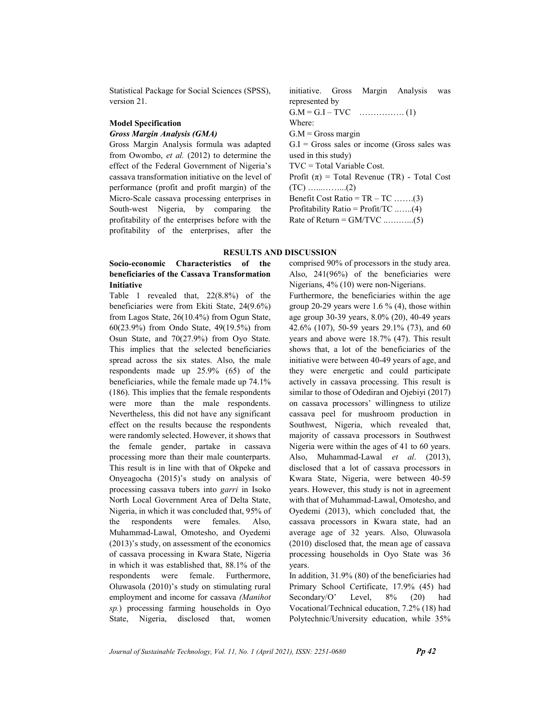Statistical Package for Social Sciences (SPSS), version 21.

#### Model Specification Gross Margin Analysis (GMA)

Gross Margin Analysis formula was adapted from Owombo, et al. (2012) to determine the effect of the Federal Government of Nigeria's cassava transformation initiative on the level of performance (profit and profit margin) of the Micro-Scale cassava processing enterprises in South-west Nigeria, by comparing the profitability of the enterprises before with the profitability of the enterprises, after the initiative. Gross Margin Analysis was represented by G.M = G.I – TVC ……………. (1) Where:  $G.M = Gross margin$  $G.I = Gross$  sales or income (Gross sales was used in this study) TVC = Total Variable Cost. Profit  $(\pi)$  = Total Revenue (TR) - Total Cost (TC) …...……...(2) Benefit Cost Ratio =  $TR - TC$  …….(3) Profitability Ratio = Profit/TC ..…..(4) Rate of Return = GM/TVC ..….…...(5)

## RESULTS AND DISCUSSION

## Socio-economic Characteristics of the beneficiaries of the Cassava Transformation Initiative

Table 1 revealed that, 22(8.8%) of the beneficiaries were from Ekiti State, 24(9.6%) from Lagos State, 26(10.4%) from Ogun State, 60(23.9%) from Ondo State, 49(19.5%) from Osun State, and 70(27.9%) from Oyo State. This implies that the selected beneficiaries spread across the six states. Also, the male respondents made up 25.9% (65) of the beneficiaries, while the female made up 74.1% (186). This implies that the female respondents were more than the male respondents. Nevertheless, this did not have any significant effect on the results because the respondents were randomly selected. However, it shows that the female gender, partake in cassava processing more than their male counterparts. This result is in line with that of Okpeke and Onyeagocha (2015)'s study on analysis of processing cassava tubers into garri in Isoko North Local Government Area of Delta State, Nigeria, in which it was concluded that, 95% of the respondents were females. Also, Muhammad-Lawal, Omotesho, and Oyedemi (2013)'s study, on assessment of the economics of cassava processing in Kwara State, Nigeria in which it was established that, 88.1% of the respondents were female. Furthermore, Oluwasola (2010)'s study on stimulating rural employment and income for cassava (Manihot sp.) processing farming households in Oyo State, Nigeria, disclosed that, women comprised 90% of processors in the study area. Also, 241(96%) of the beneficiaries were Nigerians, 4% (10) were non-Nigerians.

Furthermore, the beneficiaries within the age group 20-29 years were 1.6 % (4), those within age group 30-39 years, 8.0% (20), 40-49 years 42.6% (107), 50-59 years 29.1% (73), and 60 years and above were 18.7% (47). This result shows that, a lot of the beneficiaries of the initiative were between 40-49 years of age, and they were energetic and could participate actively in cassava processing. This result is similar to those of Odediran and Ojebiyi (2017) on cassava processors' willingness to utilize cassava peel for mushroom production in Southwest, Nigeria, which revealed that, majority of cassava processors in Southwest Nigeria were within the ages of 41 to 60 years. Also, Muhammad-Lawal et al. (2013), disclosed that a lot of cassava processors in Kwara State, Nigeria, were between 40-59 years. However, this study is not in agreement with that of Muhammad-Lawal, Omotesho, and Oyedemi (2013), which concluded that, the cassava processors in Kwara state, had an average age of 32 years. Also, Oluwasola (2010) disclosed that, the mean age of cassava processing households in Oyo State was 36 years.

In addition, 31.9% (80) of the beneficiaries had Primary School Certificate, 17.9% (45) had Secondary/O' Level, 8% (20) had Vocational/Technical education, 7.2% (18) had Polytechnic/University education, while 35%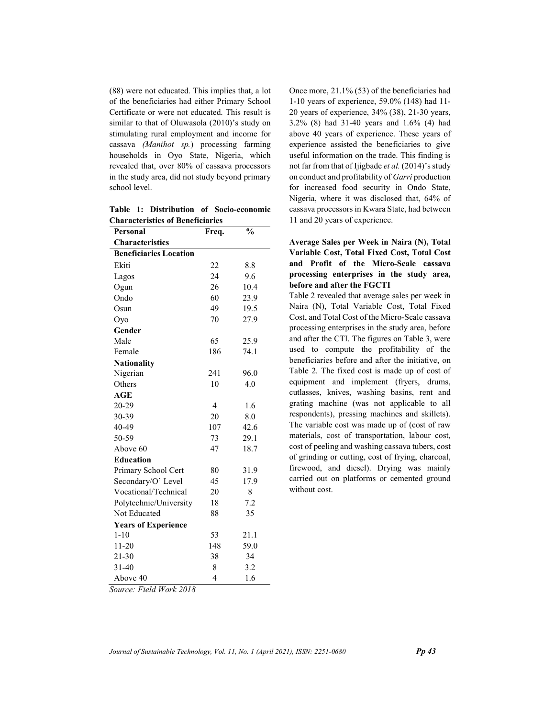(88) were not educated. This implies that, a lot of the beneficiaries had either Primary School Certificate or were not educated. This result is similar to that of Oluwasola (2010)'s study on stimulating rural employment and income for cassava (Manihot sp.) processing farming households in Oyo State, Nigeria, which revealed that, over 80% of cassava processors in the study area, did not study beyond primary school level.

Table 1: Distribution of Socio-economic Characteristics of Beneficiaries

| Personal                      | Freq.          | $\frac{0}{0}$ |
|-------------------------------|----------------|---------------|
| <b>Characteristics</b>        |                |               |
| <b>Beneficiaries Location</b> |                |               |
| Ekiti                         | 22             | 8.8           |
| Lagos                         | 24             | 9.6           |
| Ogun                          | 26             | 10.4          |
| Ondo                          | 60             | 23.9          |
| Osun                          | 49             | 19.5          |
| Oyo                           | 70             | 27.9          |
| Gender                        |                |               |
| Male                          | 65             | 25.9          |
| Female                        | 186            | 74.1          |
| <b>Nationality</b>            |                |               |
| Nigerian                      | 241            | 96.0          |
| Others                        | 10             | 4.0           |
| <b>AGE</b>                    |                |               |
| 20-29                         | $\overline{4}$ | 1.6           |
| 30-39                         | 20             | 8.0           |
| 40-49                         | 107            | 42.6          |
| 50-59                         | 73             | 29.1          |
| Above 60                      | 47             | 18.7          |
| <b>Education</b>              |                |               |
| Primary School Cert           | 80             | 31.9          |
| Secondary/O' Level            | 45             | 17.9          |
| Vocational/Technical          | 20             | 8             |
| Polytechnic/University        | 18             | 7.2           |
| Not Educated                  | 88             | 35            |
| <b>Years of Experience</b>    |                |               |
| $1 - 10$                      | 53             | 21.1          |
| $11-20$                       | 148            | 59.0          |
| $21 - 30$                     | 38             | 34            |
| $31 - 40$                     | 8              | 3.2           |
| Above 40                      | 4              | 1.6           |

Once more, 21.1% (53) of the beneficiaries had 1-10 years of experience, 59.0% (148) had 11- 20 years of experience, 34% (38), 21-30 years, 3.2% (8) had 31-40 years and 1.6% (4) had above 40 years of experience. These years of experience assisted the beneficiaries to give useful information on the trade. This finding is not far from that of Ijigbade et al. (2014)'s study on conduct and profitability of Garri production for increased food security in Ondo State, Nigeria, where it was disclosed that, 64% of cassava processors in Kwara State, had between 11 and 20 years of experience.

# Average Sales per Week in Naira (N), Total Variable Cost, Total Fixed Cost, Total Cost and Profit of the Micro-Scale cassava processing enterprises in the study area, before and after the FGCTI

Table 2 revealed that average sales per week in Naira (N), Total Variable Cost, Total Fixed Cost, and Total Cost of the Micro-Scale cassava processing enterprises in the study area, before and after the CTI. The figures on Table 3, were used to compute the profitability of the beneficiaries before and after the initiative, on Table 2. The fixed cost is made up of cost of equipment and implement (fryers, drums, cutlasses, knives, washing basins, rent and grating machine (was not applicable to all respondents), pressing machines and skillets). The variable cost was made up of (cost of raw materials, cost of transportation, labour cost, cost of peeling and washing cassava tubers, cost of grinding or cutting, cost of frying, charcoal, firewood, and diesel). Drying was mainly carried out on platforms or cemented ground without cost.

Source: Field Work 2018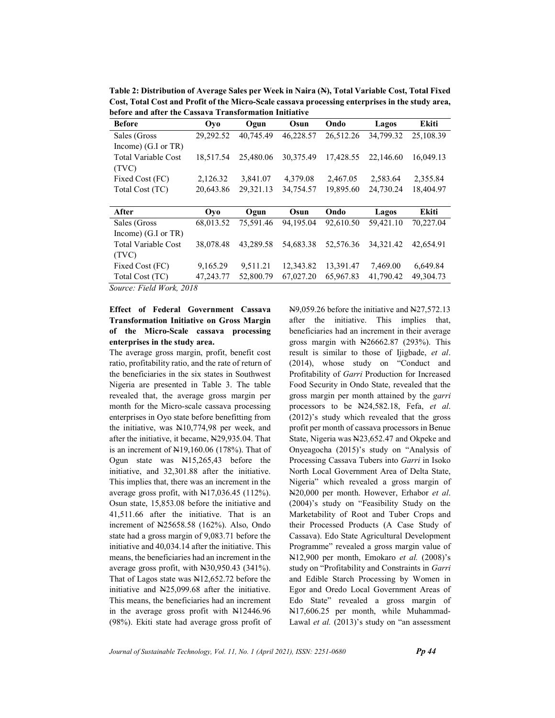Table 2: Distribution of Average Sales per Week in Naira (N), Total Variable Cost, Total Fixed Cost, Total Cost and Profit of the Micro-Scale cassava processing enterprises in the study area, before and after the Cassava Transformation Initiative

| <b>Before</b>              | Oyo       | Ogun      | Osun      | Ondo      | Lagos       | <b>Ekiti</b> |
|----------------------------|-----------|-----------|-----------|-----------|-------------|--------------|
| Sales (Gross               | 29.292.52 | 40,745.49 | 46.228.57 | 26,512.26 | 34,799.32   | 25,108.39    |
| Income) $(G.I or TR)$      |           |           |           |           |             |              |
| <b>Total Variable Cost</b> | 18,517.54 | 25,480.06 | 30,375.49 | 17.428.55 | 22,146.60   | 16,049.13    |
| (TVC)                      |           |           |           |           |             |              |
| Fixed Cost (FC)            | 2,126.32  | 3,841.07  | 4,379.08  | 2,467.05  | 2,583.64    | 2,355.84     |
| Total Cost (TC)            | 20,643.86 | 29,321.13 | 34,754.57 | 19,895.60 | 24,730.24   | 18,404.97    |
|                            |           |           |           |           |             |              |
| After                      | Ovo       | Ogun      | Osun      | Ondo      | Lagos       | Ekiti        |
| Sales (Gross               | 68,013.52 | 75,591.46 | 94,195.04 | 92,610.50 | 59,421.10   | 70,227.04    |
| Income) $(G.I or TR)$      |           |           |           |           |             |              |
| <b>Total Variable Cost</b> | 38,078.48 | 43.289.58 | 54,683.38 | 52,576.36 | 34, 321. 42 | 42,654.91    |
| (TVC)                      |           |           |           |           |             |              |
| Fixed Cost (FC)            | 9,165.29  | 9,511.21  | 12,343.82 | 13,391.47 | 7,469.00    | 6,649.84     |
| Total Cost (TC)            | 47,243.77 | 52,800.79 | 67,027.20 | 65,967.83 | 41,790.42   | 49,304.73    |

Source: Field Work, 2018

# Effect of Federal Government Cassava Transformation Initiative on Gross Margin of the Micro-Scale cassava processing enterprises in the study area.

The average gross margin, profit, benefit cost ratio, profitability ratio, and the rate of return of the beneficiaries in the six states in Southwest Nigeria are presented in Table 3. The table revealed that, the average gross margin per month for the Micro-scale cassava processing enterprises in Oyo state before benefitting from the initiative, was N10,774,98 per week, and after the initiative, it became, N29,935.04. That is an increment of N19,160.06 (178%). That of Ogun state was N15,265,43 before the initiative, and 32,301.88 after the initiative. This implies that, there was an increment in the average gross profit, with N17,036.45 (112%). Osun state, 15,853.08 before the initiative and 41,511.66 after the initiative. That is an increment of N25658.58 (162%). Also, Ondo state had a gross margin of 9,083.71 before the initiative and 40,034.14 after the initiative. This means, the beneficiaries had an increment in the average gross profit, with N30,950.43 (341%). That of Lagos state was N12,652.72 before the initiative and N25,099.68 after the initiative. This means, the beneficiaries had an increment in the average gross profit with N12446.96 (98%). Ekiti state had average gross profit of N9,059.26 before the initiative and N27,572.13 after the initiative. This implies that, beneficiaries had an increment in their average gross margin with N26662.87 (293%). This result is similar to those of Ijigbade, et al. (2014), whose study on "Conduct and Profitability of Garri Production for Increased Food Security in Ondo State, revealed that the gross margin per month attained by the garri processors to be N24,582.18, Fefa, et al. (2012)'s study which revealed that the gross profit per month of cassava processors in Benue State, Nigeria was N23,652.47 and Okpeke and Onyeagocha (2015)'s study on "Analysis of Processing Cassava Tubers into Garri in Isoko North Local Government Area of Delta State, Nigeria" which revealed a gross margin of N20,000 per month. However, Erhabor et al. (2004)'s study on "Feasibility Study on the Marketability of Root and Tuber Crops and their Processed Products (A Case Study of Cassava). Edo State Agricultural Development Programme" revealed a gross margin value of N12,900 per month, Emokaro et al. (2008)'s study on "Profitability and Constraints in Garri and Edible Starch Processing by Women in Egor and Oredo Local Government Areas of Edo State" revealed a gross margin of N17,606.25 per month, while Muhammad-Lawal et al. (2013)'s study on "an assessment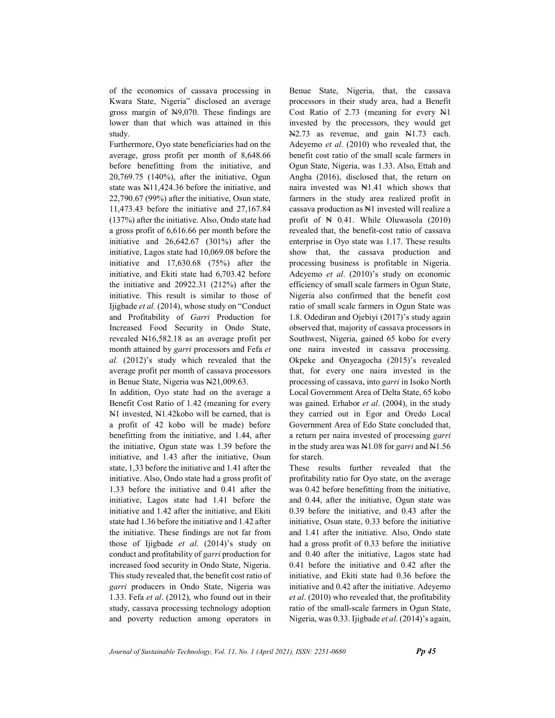of the economics of cassava processing in Kwara State, Nigeria" disclosed an average gross margin of N9,070. These findings are lower than that which was attained in this study.

Furthermore, Oyo state beneficiaries had on the average, gross profit per month of 8,648.66 before benefitting from the initiative, and 20,769.75 (140%), after the initiative, Ogun state was N11,424.36 before the initiative, and 22,790.67 (99%) after the initiative, Osun state, 11,473.43 before the initiative and 27,167.84 (137%) after the initiative. Also, Ondo state had a gross profit of 6,616.66 per month before the initiative and 26,642.67 (301%) after the initiative, Lagos state had 10,069.08 before the initiative and 17,630.68 (75%) after the initiative, and Ekiti state had 6,703.42 before the initiative and 20922.31 (212%) after the initiative. This result is similar to those of Ijigbade et al. (2014), whose study on "Conduct and Profitability of Garri Production for Increased Food Security in Ondo State, revealed N16,582.18 as an average profit per month attained by garri processors and Fefa et al. (2012)'s study which revealed that the average profit per month of cassava processors in Benue State, Nigeria was N21,009.63.

In addition, Oyo state had on the average a Benefit Cost Ratio of 1.42 (meaning for every N1 invested, N1.42kobo will be earned, that is a profit of 42 kobo will be made) before benefitting from the initiative, and 1.44, after the initiative, Ogun state was 1.39 before the initiative, and 1.43 after the initiative, Osun state, 1,33 before the initiative and 1.41 after the initiative. Also, Ondo state had a gross profit of 1.33 before the initiative and 0.41 after the initiative, Lagos state had 1.41 before the initiative and 1.42 after the initiative, and Ekiti state had 1.36 before the initiative and 1.42 after the initiative. These findings are not far from those of Ijigbade et al.  $(2014)$ 's study on conduct and profitability of garri production for increased food security in Ondo State, Nigeria. This study revealed that, the benefit cost ratio of garri producers in Ondo State, Nigeria was 1.33. Fefa et al. (2012), who found out in their study, cassava processing technology adoption and poverty reduction among operators in Benue State, Nigeria, that, the cassava processors in their study area, had a Benefit Cost Ratio of 2.73 (meaning for every N1 invested by the processors, they would get N2.73 as revenue, and gain N1.73 each. Adeyemo et al. (2010) who revealed that, the benefit cost ratio of the small scale farmers in Ogun State, Nigeria, was 1.33. Also, Ettah and Angba (2016), disclosed that, the return on naira invested was ₦1.41 which shows that farmers in the study area realized profit in cassava production as N1 invested will realize a profit of  $\mathbb{N}$  0.41. While Oluwasola (2010) revealed that, the benefit-cost ratio of cassava enterprise in Oyo state was 1.17. These results show that, the cassava production and processing business is profitable in Nigeria. Adeyemo et al. (2010)'s study on economic efficiency of small scale farmers in Ogun State, Nigeria also confirmed that the benefit cost ratio of small scale farmers in Ogun State was 1.8. Odediran and Ojebiyi (2017)'s study again observed that, majority of cassava processors in Southwest, Nigeria, gained 65 kobo for every one naira invested in cassava processing. Okpeke and Onyeagocha (2015)'s revealed that, for every one naira invested in the processing of cassava, into garri in Isoko North Local Government Area of Delta State, 65 kobo was gained. Erhabor et al. (2004), in the study they carried out in Egor and Oredo Local Government Area of Edo State concluded that, a return per naira invested of processing garri in the study area was N1.08 for garri and N1.56 for starch.

These results further revealed that the profitability ratio for Oyo state, on the average was 0.42 before benefitting from the initiative, and 0.44, after the initiative, Ogun state was 0.39 before the initiative, and 0.43 after the initiative, Osun state, 0.33 before the initiative and 1.41 after the initiative. Also, Ondo state had a gross profit of 0.33 before the initiative and 0.40 after the initiative, Lagos state had 0.41 before the initiative and 0.42 after the initiative, and Ekiti state had 0.36 before the initiative and 0.42 after the initiative. Adeyemo et al. (2010) who revealed that, the profitability ratio of the small-scale farmers in Ogun State, Nigeria, was 0.33. Ijigbade et al. (2014)'s again,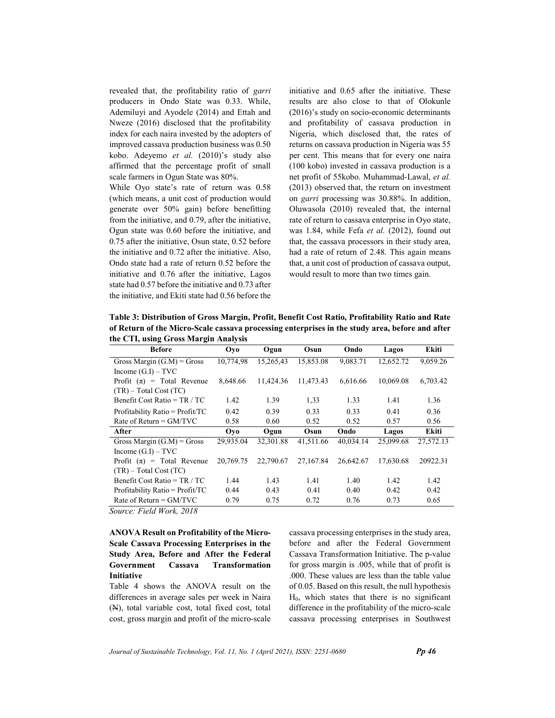revealed that, the profitability ratio of garri producers in Ondo State was 0.33. While, Ademiluyi and Ayodele (2014) and Ettah and Nweze (2016) disclosed that the profitability index for each naira invested by the adopters of improved cassava production business was 0.50 kobo. Adeyemo et al. (2010)'s study also affirmed that the percentage profit of small scale farmers in Ogun State was 80%.

While Oyo state's rate of return was 0.58 (which means, a unit cost of production would generate over 50% gain) before benefitting from the initiative, and 0.79, after the initiative, Ogun state was 0.60 before the initiative, and 0.75 after the initiative, Osun state, 0.52 before the initiative and 0.72 after the initiative. Also, Ondo state had a rate of return 0.52 before the initiative and 0.76 after the initiative, Lagos state had 0.57 before the initiative and 0.73 after the initiative, and Ekiti state had 0.56 before the initiative and 0.65 after the initiative. These results are also close to that of Olokunle (2016)'s study on socio-economic determinants and profitability of cassava production in Nigeria, which disclosed that, the rates of returns on cassava production in Nigeria was 55 per cent. This means that for every one naira (100 kobo) invested in cassava production is a net profit of 55kobo. Muhammad-Lawal, et al. (2013) observed that, the return on investment on garri processing was 30.88%. In addition, Oluwasola (2010) revealed that, the internal rate of return to cassava enterprise in Oyo state, was 1.84, while Fefa et al. (2012), found out that, the cassava processors in their study area, had a rate of return of 2.48. This again means that, a unit cost of production of cassava output, would result to more than two times gain.

Table 3: Distribution of Gross Margin, Profit, Benefit Cost Ratio, Profitability Ratio and Rate of Return of the Micro-Scale cassava processing enterprises in the study area, before and after the CTI, using Gross Margin Analysis

| <b>Before</b>                     | Oyo       | Ogun      | Osun      | Ondo      | Lagos     | Ekiti     |
|-----------------------------------|-----------|-----------|-----------|-----------|-----------|-----------|
| Gross Margin $(G.M)$ = Gross      | 10,774,98 | 15.265.43 | 15,853.08 | 9,083.71  | 12,652.72 | 9.059.26  |
| Income $(G.I) - TVC$              |           |           |           |           |           |           |
| Profit $(\pi)$ = Total Revenue    | 8,648.66  | 11,424.36 | 11,473.43 | 6,616.66  | 10,069.08 | 6,703.42  |
| $(TR)$ – Total Cost (TC)          |           |           |           |           |           |           |
| Benefit Cost Ratio = $TR / TC$    | 1.42      | 1.39      | 1,33      | 1.33      | 1.41      | 1.36      |
| Profitability Ratio = $Profit/TC$ | 0.42      | 0.39      | 0.33      | 0.33      | 0.41      | 0.36      |
| Rate of Return = $GM/TVC$         | 0.58      | 0.60      | 0.52      | 0.52      | 0.57      | 0.56      |
| After                             | Ovo       | Ogun      | Osun      | Ondo      | Lagos     | Ekiti     |
| Gross Margin $(G.M)$ = Gross      | 29,935.04 | 32,301.88 | 41,511.66 | 40,034.14 | 25,099.68 | 27,572.13 |
| Income $(G.I) - TVC$              |           |           |           |           |           |           |
|                                   |           |           |           |           |           |           |
| Profit $(\pi)$ = Total Revenue    | 20,769.75 | 22,790.67 | 27.167.84 | 26,642.67 | 17,630.68 | 20922.31  |
| $(TR)$ – Total Cost (TC)          |           |           |           |           |           |           |
| Benefit Cost Ratio = $TR / TC$    | 1.44      | 1.43      | 1.41      | 1.40      | 1.42      | 1.42      |
| Profitability Ratio = $Profit/TC$ | 0.44      | 0.43      | 0.41      | 0.40      | 0.42      | 0.42      |

Source: Field Work, 2018

 ANOVA Result on Profitability of the Micro-Scale Cassava Processing Enterprises in the Study Area, Before and After the Federal Government Cassava Transformation Initiative

 Table 4 shows the ANOVA result on the differences in average sales per week in Naira (N), total variable cost, total fixed cost, total cost, gross margin and profit of the micro-scale cassava processing enterprises in the study area, before and after the Federal Government Cassava Transformation Initiative. The p-value for gross margin is .005, while that of profit is .000. These values are less than the table value of 0.05. Based on this result, the null hypothesis H0, which states that there is no significant difference in the profitability of the micro-scale cassava processing enterprises in Southwest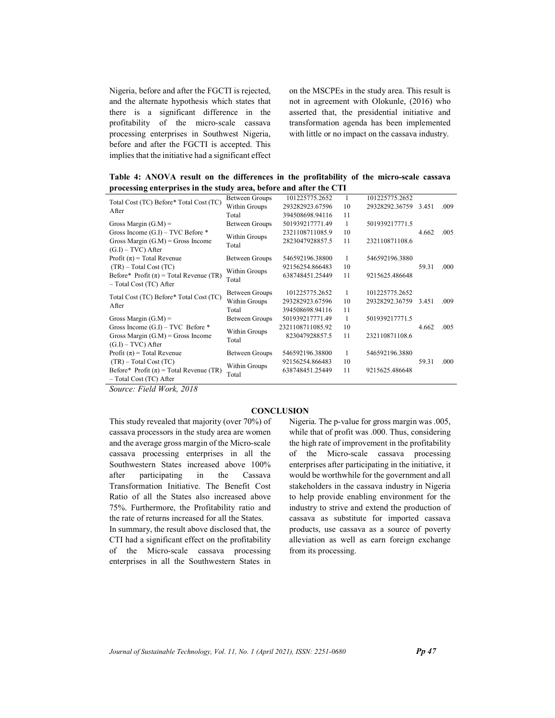Nigeria, before and after the FGCTI is rejected, and the alternate hypothesis which states that there is a significant difference in the profitability of the micro-scale cassava processing enterprises in Southwest Nigeria, before and after the FGCTI is accepted. This implies that the initiative had a significant effect

on the MSCPEs in the study area. This result is not in agreement with Olokunle, (2016) who asserted that, the presidential initiative and transformation agenda has been implemented with little or no impact on the cassava industry.

Table 4: ANOVA result on the differences in the profitability of the micro-scale cassava processing enterprises in the study area, before and after the CTI

| Total Cost (TC) Before* Total Cost (TC)<br>After                         | <b>Between Groups</b>  | 101225775.2652   |    | 101225775.2652 |       |      |
|--------------------------------------------------------------------------|------------------------|------------------|----|----------------|-------|------|
|                                                                          | Within Groups          | 293282923.67596  | 10 | 29328292.36759 | 3.451 | .009 |
|                                                                          | Total                  | 394508698.94116  | 11 |                |       |      |
| Gross Margin $(G.M)$ =                                                   | Between Groups         | 501939217771.49  | 1  | 501939217771.5 |       |      |
| Gross Income $(G.I)$ – TVC Before $*$                                    |                        | 2321108711085.9  | 10 |                | 4.662 | .005 |
| Gross Margin $(G.M)$ = Gross Income<br>$(G.I) - TVC$ ) After             | Within Groups<br>Total | 2823047928857.5  | 11 | 232110871108.6 |       |      |
| Profit $(\pi)$ = Total Revenue                                           | Between Groups         | 546592196.38800  | 1  | 546592196.3880 |       |      |
| $(TR)$ – Total Cost $(TC)$                                               |                        | 92156254.866483  | 10 |                | 59.31 | .000 |
| Before* Profit $(\pi)$ = Total Revenue (TR)<br>$-$ Total Cost (TC) After | Within Groups<br>Total | 638748451.25449  | 11 | 9215625.486648 |       |      |
| Total Cost (TC) Before* Total Cost (TC)<br>After                         | Between Groups         | 101225775.2652   | 1  | 101225775.2652 |       |      |
|                                                                          | Within Groups          | 293282923.67596  | 10 | 29328292.36759 | 3.451 | .009 |
|                                                                          | Total                  | 394508698.94116  | 11 |                |       |      |
| Gross Margin $(G.M)$ =                                                   | Between Groups         | 501939217771.49  | 1  | 501939217771.5 |       |      |
| Gross Income $(G,I)$ – TVC Before $*$                                    |                        | 2321108711085.92 | 10 |                | 4.662 | .005 |
| Gross Margin $(G.M)$ = Gross Income                                      | Within Groups          | 823047928857.5   | 11 | 232110871108.6 |       |      |
| $(G.I) - TVC$ ) After                                                    | Total                  |                  |    |                |       |      |
| Profit $(\pi)$ = Total Revenue                                           | Between Groups         | 546592196.38800  | 1  | 546592196.3880 |       |      |
| $(TR)$ – Total Cost $(TC)$                                               |                        | 92156254.866483  | 10 |                | 59.31 | .000 |
| Before* Profit $(\pi)$ = Total Revenue (TR)<br>$-$ Total Cost (TC) After | Within Groups<br>Total | 638748451.25449  | 11 | 9215625.486648 |       |      |

Source: Field Work, 2018

## **CONCLUSION**

This study revealed that majority (over 70%) of cassava processors in the study area are women and the average gross margin of the Micro-scale cassava processing enterprises in all the Southwestern States increased above 100% after participating in the Cassava Transformation Initiative. The Benefit Cost Ratio of all the States also increased above 75%. Furthermore, the Profitability ratio and the rate of returns increased for all the States. In summary, the result above disclosed that, the CTI had a significant effect on the profitability of the Micro-scale cassava processing enterprises in all the Southwestern States in

Nigeria. The p-value for gross margin was .005, while that of profit was .000. Thus, considering the high rate of improvement in the profitability of the Micro-scale cassava processing enterprises after participating in the initiative, it would be worthwhile for the government and all stakeholders in the cassava industry in Nigeria to help provide enabling environment for the industry to strive and extend the production of cassava as substitute for imported cassava products, use cassava as a source of poverty alleviation as well as earn foreign exchange from its processing.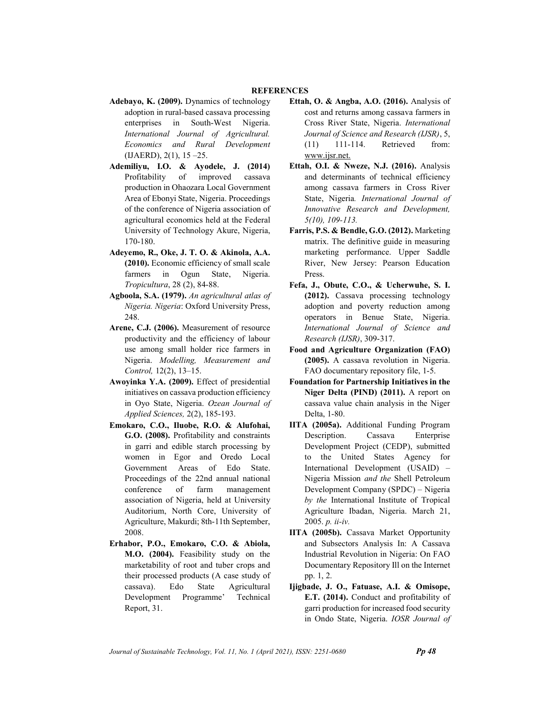#### **REFERENCES**

- Adebayo, K. (2009). Dynamics of technology adoption in rural-based cassava processing enterprises in South-West Nigeria. International Journal of Agricultural. Economics and Rural Development (IJAERD), 2(1), 15 –25.
- Ademiliyu, I.O. & Ayodele, J. (2014) Profitability of improved cassava production in Ohaozara Local Government Area of Ebonyi State, Nigeria. Proceedings of the conference of Nigeria association of agricultural economics held at the Federal University of Technology Akure, Nigeria, 170-180.
- Adeyemo, R., Oke, J. T. O. & Akinola, A.A. (2010). Economic efficiency of small scale farmers in Ogun State, Nigeria. Tropicultura, 28 (2), 84-88.
- Agboola, S.A. (1979). An agricultural atlas of Nigeria. Nigeria: Oxford University Press, 248.
- Arene, C.J. (2006). Measurement of resource productivity and the efficiency of labour use among small holder rice farmers in Nigeria. Modelling, Measurement and Control, 12(2), 13–15.
- Awoyinka Y.A. (2009). Effect of presidential initiatives on cassava production efficiency in Oyo State, Nigeria. Ozean Journal of Applied Sciences, 2(2), 185-193.
- Emokaro, C.O., Iluobe, R.O. & Alufohai, G.O. (2008). Profitability and constraints in garri and edible starch processing by women in Egor and Oredo Local Government Areas of Edo State. Proceedings of the 22nd annual national conference of farm management association of Nigeria, held at University Auditorium, North Core, University of Agriculture, Makurdi; 8th-11th September, 2008.
- Erhabor, P.O., Emokaro, C.O. & Abiola, M.O. (2004). Feasibility study on the marketability of root and tuber crops and their processed products (A case study of cassava). Edo State Agricultural Development Programme' Technical Report, 31.
- Ettah, O. & Angba, A.O. (2016). Analysis of cost and returns among cassava farmers in Cross River State, Nigeria. International Journal of Science and Research (IJSR), 5, (11) 111-114. Retrieved from: www.ijsr.net.
- Ettah, O.I. & Nweze, N.J. (2016). Analysis and determinants of technical efficiency among cassava farmers in Cross River State, Nigeria. International Journal of Innovative Research and Development, 5(10), 109-113.
- Farris, P.S. & Bendle, G.O. (2012). Marketing matrix. The definitive guide in measuring marketing performance. Upper Saddle River, New Jersey: Pearson Education Press.
- Fefa, J., Obute, C.O., & Ucherwuhe, S. I. (2012). Cassava processing technology adoption and poverty reduction among operators in Benue State, Nigeria. International Journal of Science and Research (IJSR), 309-317.
- Food and Agriculture Organization (FAO) (2005). A cassava revolution in Nigeria. FAO documentary repository file, 1-5.
- Foundation for Partnership Initiatives in the Niger Delta (PIND) (2011). A report on cassava value chain analysis in the Niger Delta, 1-80.
- IITA (2005a). Additional Funding Program Description. Cassava Enterprise Development Project (CEDP), submitted to the United States Agency for International Development (USAID) – Nigeria Mission and the Shell Petroleum Development Company (SPDC) – Nigeria by the International Institute of Tropical Agriculture Ibadan, Nigeria. March 21, 2005. p. ii-iv.
- IITA (2005b). Cassava Market Opportunity and Subsectors Analysis In: A Cassava Industrial Revolution in Nigeria: On FAO Documentary Repository Ill on the Internet pp. 1, 2.
- Ijigbade, J. O., Fatuase, A.I. & Omisope, E.T. (2014). Conduct and profitability of garri production for increased food security in Ondo State, Nigeria. IOSR Journal of

Journal of Sustainable Technology, Vol. 11, No. 1 (April 2021), ISSN:  $2251-0680$  Pp 48